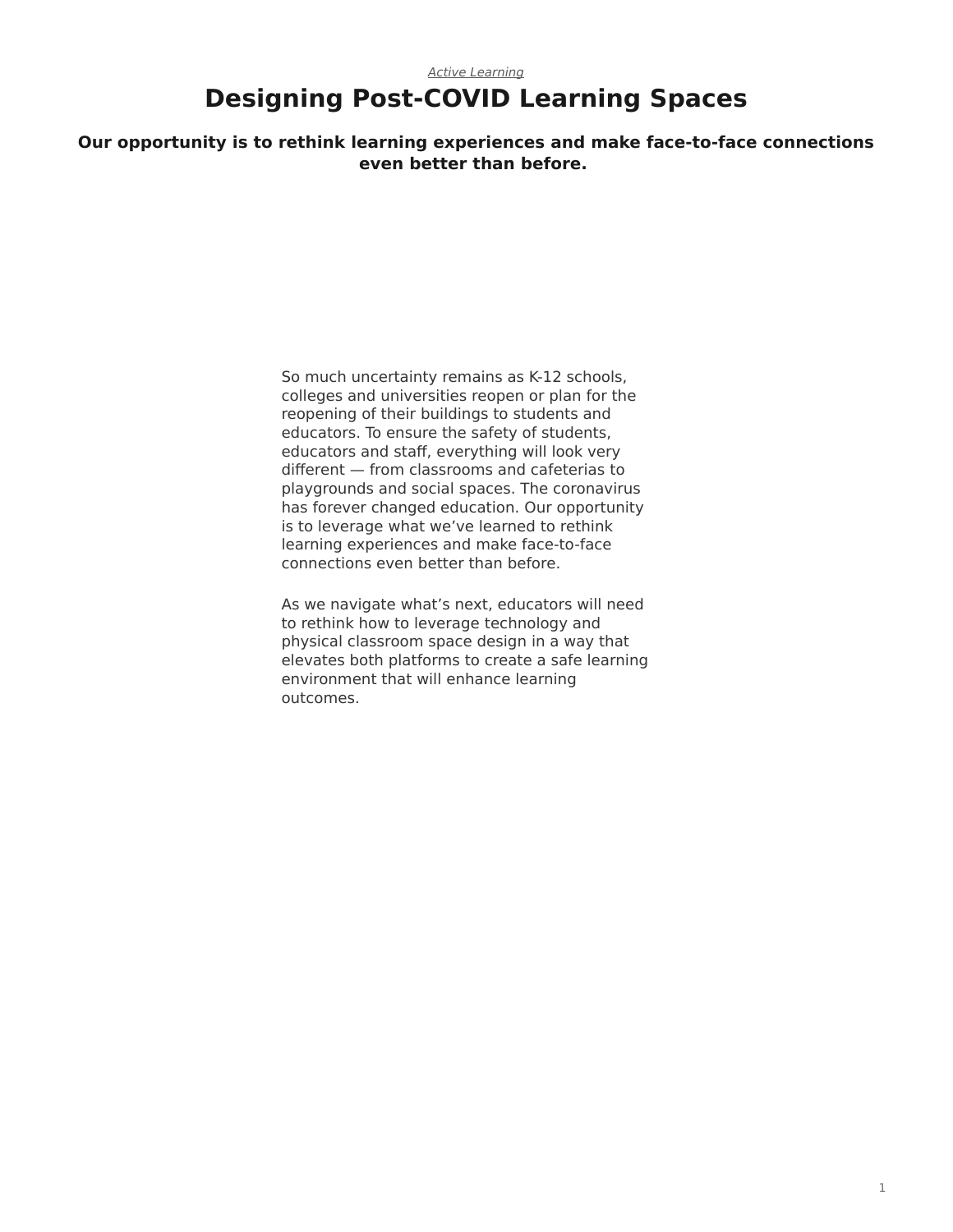#### *[Active Learning](https://www.steelcase.com/asia-en/research/topics/active-learning/)* **Designing Post-COVID Learning Spaces**

**Our opportunity is to rethink learning experiences and make face-to-face connections even better than before.**

> So much uncertainty remains as K-12 schools, colleges and universities reopen or plan for the reopening of their buildings to students and educators. To ensure the safety of students, educators and staff, everything will look very different — from classrooms and cafeterias to playgrounds and social spaces. The coronavirus has forever changed education. Our opportunity is to leverage what we've learned to rethink learning experiences and make face-to-face connections even better than before.

As we navigate what's next, educators will need to rethink how to leverage technology and physical classroom space design in a way that elevates both platforms to create a safe learning environment that will enhance learning outcomes.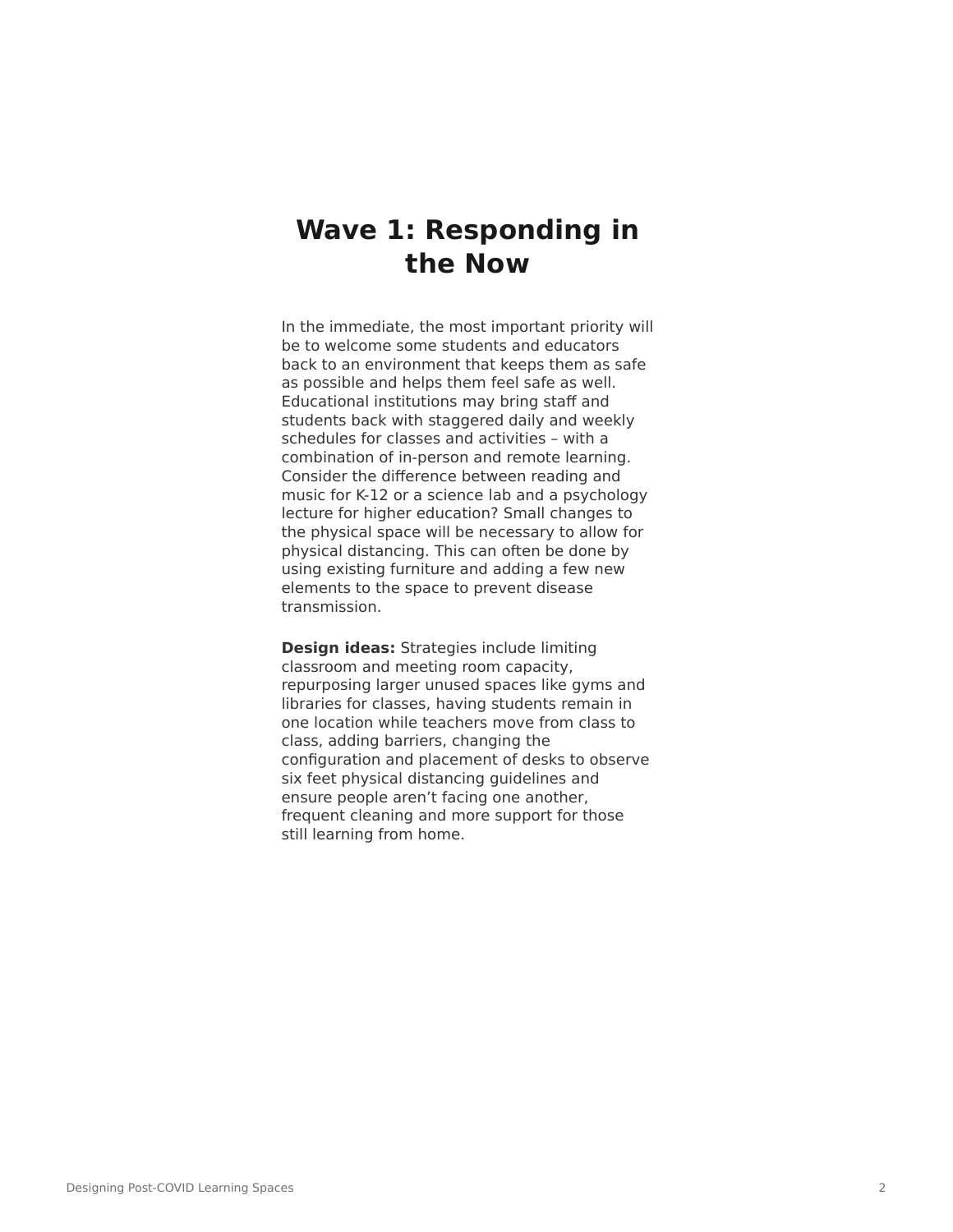## **Wave 1: Responding in the Now**

In the immediate, the most important priority will be to welcome some students and educators back to an environment that keeps them as safe as possible and helps them feel safe as well. Educational institutions may bring staff and students back with staggered daily and weekly schedules for classes and activities – with a combination of in-person and remote learning. Consider the difference between reading and music for K-12 or a science lab and a psychology lecture for higher education? Small changes to the physical space will be necessary to allow for physical distancing. This can often be done by using existing furniture and adding a few new elements to the space to prevent disease transmission.

**Design ideas:** Strategies include limiting classroom and meeting room capacity, repurposing larger unused spaces like gyms and libraries for classes, having students remain in one location while teachers move from class to class, adding barriers, changing the configuration and placement of desks to observe six feet physical distancing guidelines and ensure people aren't facing one another, frequent cleaning and more support for those still learning from home.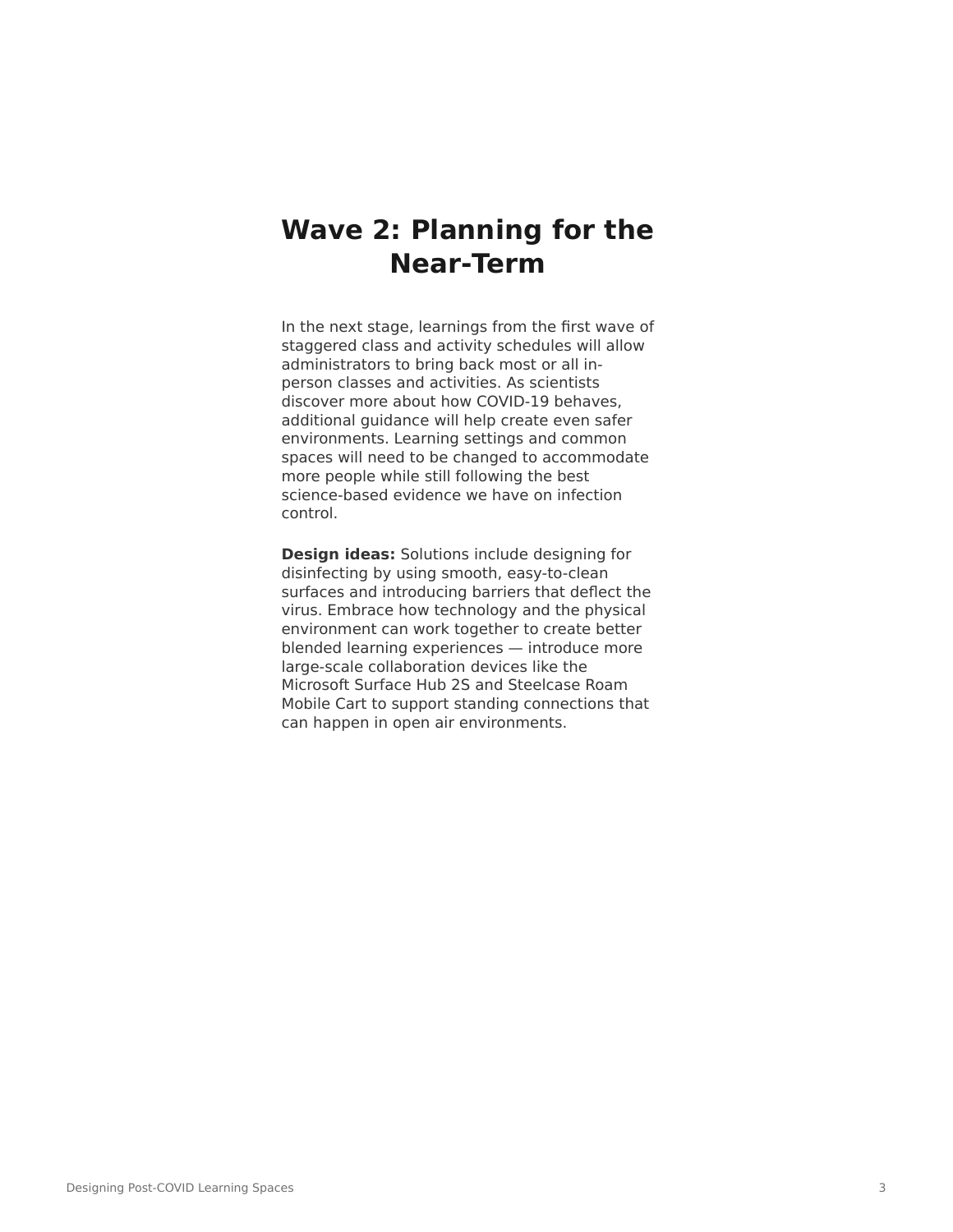# **Wave 2: Planning for the Near-Term**

In the next stage, learnings from the first wave of staggered class and activity schedules will allow administrators to bring back most or all inperson classes and activities. As scientists discover more about how COVID-19 behaves, additional guidance will help create even safer environments. Learning settings and common spaces will need to be changed to accommodate more people while still following the best science-based evidence we have on infection control.

**Design ideas:** Solutions include designing for disinfecting by using smooth, easy-to-clean surfaces and introducing barriers that deflect the virus. Embrace how technology and the physical environment can work together to create better blended learning experiences — introduce more large-scale collaboration devices like the Microsoft Surface Hub 2S and Steelcase Roam Mobile Cart to support standing connections that can happen in open air environments.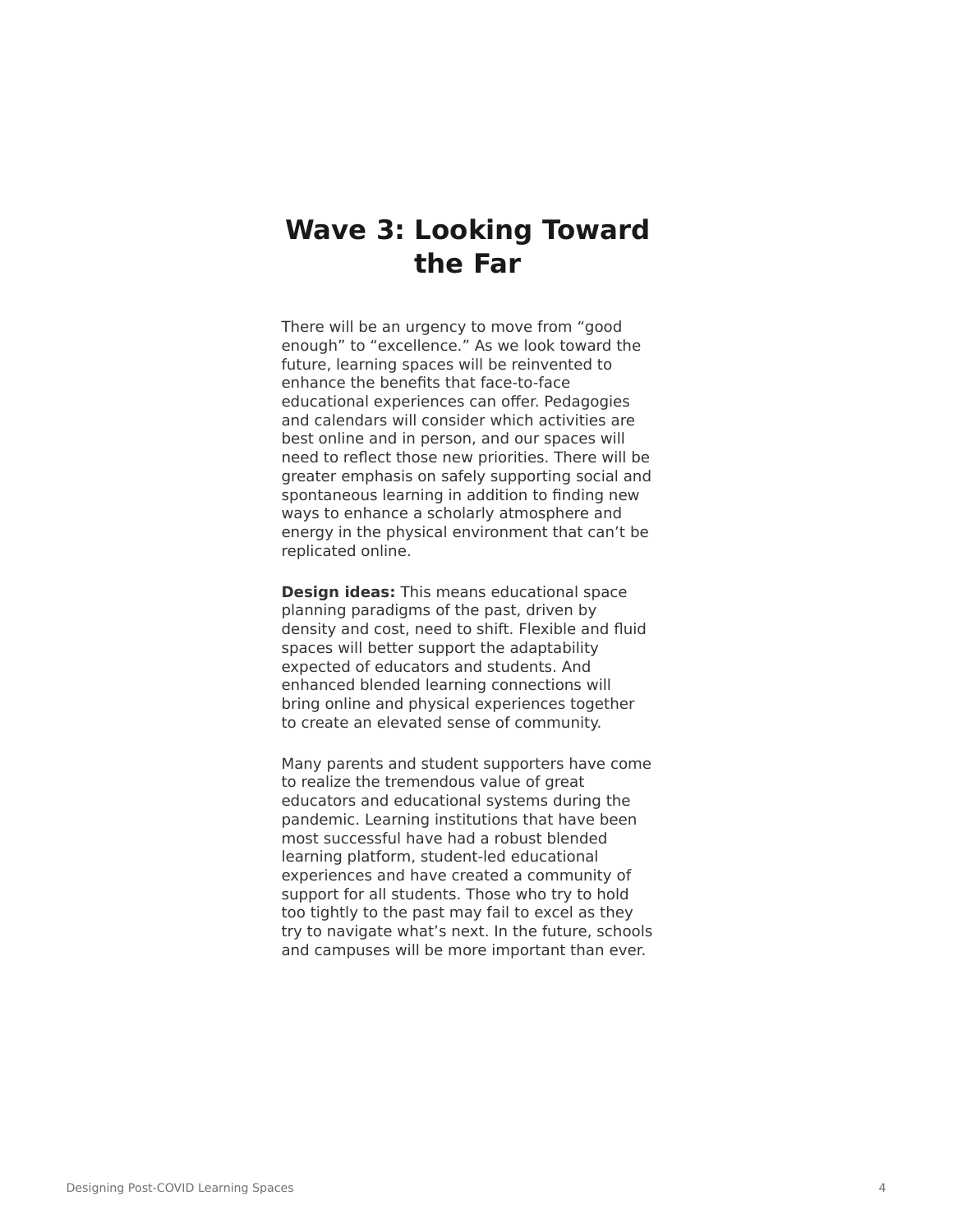## **Wave 3: Looking Toward the Far**

There will be an urgency to move from "good enough" to "excellence." As we look toward the future, learning spaces will be reinvented to enhance the benefits that face-to-face educational experiences can offer. Pedagogies and calendars will consider which activities are best online and in person, and our spaces will need to reflect those new priorities. There will be greater emphasis on safely supporting social and spontaneous learning in addition to finding new ways to enhance a scholarly atmosphere and energy in the physical environment that can't be replicated online.

**Design ideas:** This means educational space planning paradigms of the past, driven by density and cost, need to shift. Flexible and fluid spaces will better support the adaptability expected of educators and students. And enhanced blended learning connections will bring online and physical experiences together to create an elevated sense of community.

Many parents and student supporters have come to realize the tremendous value of great educators and educational systems during the pandemic. Learning institutions that have been most successful have had a robust blended learning platform, student-led educational experiences and have created a community of support for all students. Those who try to hold too tightly to the past may fail to excel as they try to navigate what's next. In the future, schools and campuses will be more important than ever.